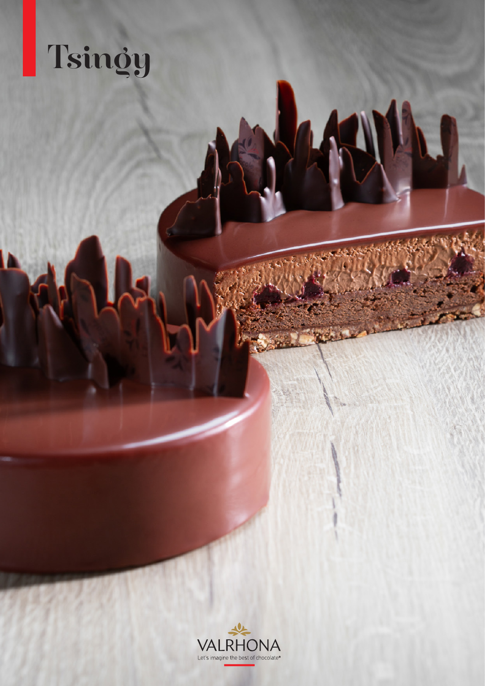# Tsingy